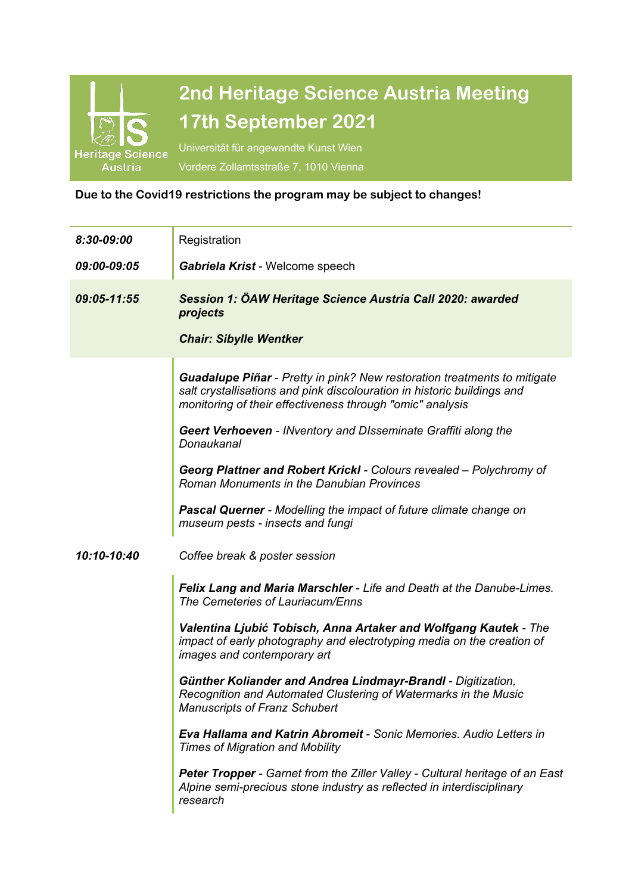

## **Due to the Covid19 restrictions the program may be subject to changes!**

l,

| 8:30-09:00  | Registration                                                                                                                                                                                                            |
|-------------|-------------------------------------------------------------------------------------------------------------------------------------------------------------------------------------------------------------------------|
| 09:00-09:05 | Gabriela Krist - Welcome speech                                                                                                                                                                                         |
| 09:05-11:55 | Session 1: ÖAW Heritage Science Austria Call 2020: awarded<br>projects                                                                                                                                                  |
|             | <b>Chair: Sibylle Wentker</b>                                                                                                                                                                                           |
|             | <b>Guadalupe Piñar</b> - Pretty in pink? New restoration treatments to mitigate<br>salt crystallisations and pink discolouration in historic buildings and<br>monitoring of their effectiveness through "omic" analysis |
|             | Geert Verhoeven - INventory and DIsseminate Graffiti along the<br>Donaukanal                                                                                                                                            |
|             | Georg Plattner and Robert Krickl - Colours revealed - Polychromy of<br>Roman Monuments in the Danubian Provinces                                                                                                        |
|             | <b>Pascal Querner</b> - Modelling the impact of future climate change on<br>museum pests - insects and fungi                                                                                                            |
| 10:10-10:40 | Coffee break & poster session                                                                                                                                                                                           |
|             | Felix Lang and Maria Marschler - Life and Death at the Danube-Limes.<br>The Cemeteries of Lauriacum/Enns                                                                                                                |
|             | Valentina Ljubić Tobisch, Anna Artaker and Wolfgang Kautek - The<br>impact of early photography and electrotyping media on the creation of<br>images and contemporary art                                               |
|             | Günther Koliander and Andrea Lindmayr-Brandl - Digitization,<br>Recognition and Automated Clustering of Watermarks in the Music<br><b>Manuscripts of Franz Schubert</b>                                                 |
|             | <b>Eva Hallama and Katrin Abromeit - Sonic Memories. Audio Letters in</b><br><b>Times of Migration and Mobility</b>                                                                                                     |
|             | Peter Tropper - Garnet from the Ziller Valley - Cultural heritage of an East<br>Alpine semi-precious stone industry as reflected in interdisciplinary<br>research                                                       |